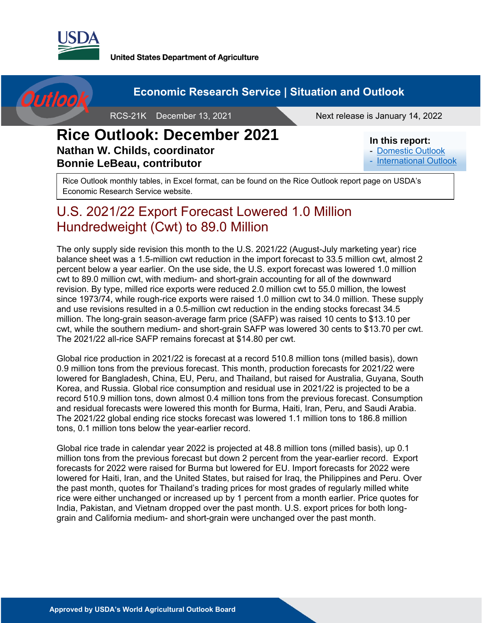

**United States Department of Agriculture** 



Next release is January 14, 2022

### **Rice Outlook: December 2021 Nathan W. Childs, coordinator Bonnie LeBeau, contributor**

#### **In this report:**

- [Domestic Outlook](#page-2-0)
- [International Outlook](#page-6-0)

Rice Outlook monthly tables, in Excel format, can be found on the Rice Outlook report page on USDA's Economic Research Service website.

# U.S. 2021/22 Export Forecast Lowered 1.0 Million Hundredweight (Cwt) to 89.0 Million

The only supply side revision this month to the U.S. 2021/22 (August-July marketing year) rice balance sheet was a 1.5-million cwt reduction in the import forecast to 33.5 million cwt, almost 2 percent below a year earlier. On the use side, the U.S. export forecast was lowered 1.0 million cwt to 89.0 million cwt, with medium- and short-grain accounting for all of the downward revision. By type, milled rice exports were reduced 2.0 million cwt to 55.0 million, the lowest since 1973/74, while rough-rice exports were raised 1.0 million cwt to 34.0 million. These supply and use revisions resulted in a 0.5-million cwt reduction in the ending stocks forecast 34.5 million. The long-grain season-average farm price (SAFP) was raised 10 cents to \$13.10 per cwt, while the southern medium- and short-grain SAFP was lowered 30 cents to \$13.70 per cwt. The 2021/22 all-rice SAFP remains forecast at \$14.80 per cwt.

Global rice production in 2021/22 is forecast at a record 510.8 million tons (milled basis), down 0.9 million tons from the previous forecast. This month, production forecasts for 2021/22 were lowered for Bangladesh, China, EU, Peru, and Thailand, but raised for Australia, Guyana, South Korea, and Russia. Global rice consumption and residual use in 2021/22 is projected to be a record 510.9 million tons, down almost 0.4 million tons from the previous forecast. Consumption and residual forecasts were lowered this month for Burma, Haiti, Iran, Peru, and Saudi Arabia. The 2021/22 global ending rice stocks forecast was lowered 1.1 million tons to 186.8 million tons, 0.1 million tons below the year-earlier record.

Global rice trade in calendar year 2022 is projected at 48.8 million tons (milled basis), up 0.1 million tons from the previous forecast but down 2 percent from the year-earlier record. Export forecasts for 2022 were raised for Burma but lowered for EU. Import forecasts for 2022 were lowered for Haiti, Iran, and the United States, but raised for Iraq, the Philippines and Peru. Over the past month, quotes for Thailand's trading prices for most grades of regularly milled white rice were either unchanged or increased up by 1 percent from a month earlier. Price quotes for India, Pakistan, and Vietnam dropped over the past month. U.S. export prices for both longgrain and California medium- and short-grain were unchanged over the past month.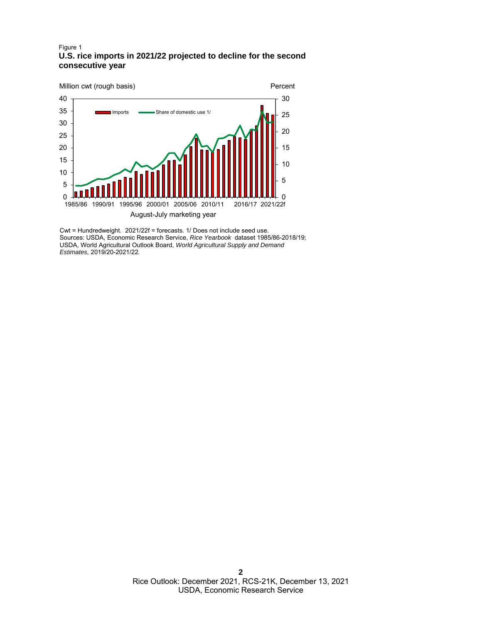#### Figure 1 **U.S. rice imports in 2021/22 projected to decline for the second consecutive year**



Cwt = Hundredweight. 2021/22f = forecasts. 1/ Does not include seed use. Sources: USDA, Economic Research Service, *Rice Yearbook* dataset 1985/86-2018/19; USDA, World Agricultural Outlook Board, *World Agricultural Supply and Demand Estimates,* 2019/20-2021/22*.*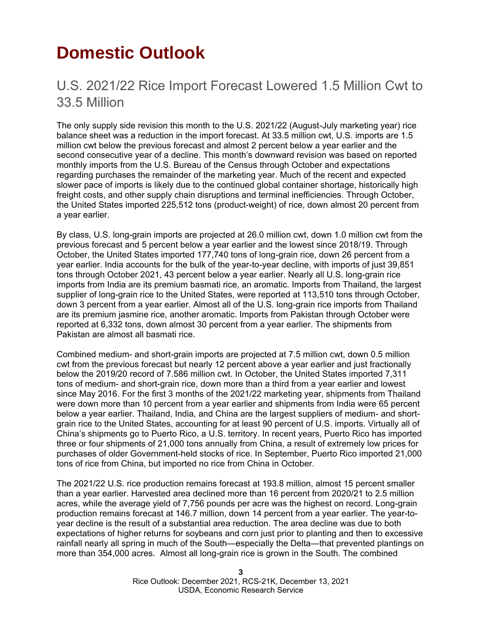# <span id="page-2-0"></span>**Domestic Outlook**

## U.S. 2021/22 Rice Import Forecast Lowered 1.5 Million Cwt to 33.5 Million

The only supply side revision this month to the U.S. 2021/22 (August-July marketing year) rice balance sheet was a reduction in the import forecast. At 33.5 million cwt, U.S. imports are 1.5 million cwt below the previous forecast and almost 2 percent below a year earlier and the second consecutive year of a decline. This month's downward revision was based on reported monthly imports from the U.S. Bureau of the Census through October and expectations regarding purchases the remainder of the marketing year. Much of the recent and expected slower pace of imports is likely due to the continued global container shortage, historically high freight costs, and other supply chain disruptions and terminal inefficiencies. Through October, the United States imported 225,512 tons (product-weight) of rice, down almost 20 percent from a year earlier.

By class, U.S. long-grain imports are projected at 26.0 million cwt, down 1.0 million cwt from the previous forecast and 5 percent below a year earlier and the lowest since 2018/19. Through October, the United States imported 177,740 tons of long-grain rice, down 26 percent from a year earlier. India accounts for the bulk of the year-to-year decline, with imports of just 39,851 tons through October 2021, 43 percent below a year earlier. Nearly all U.S. long-grain rice imports from India are its premium basmati rice, an aromatic. Imports from Thailand, the largest supplier of long-grain rice to the United States, were reported at 113,510 tons through October, down 3 percent from a year earlier. Almost all of the U.S. long-grain rice imports from Thailand are its premium jasmine rice, another aromatic. Imports from Pakistan through October were reported at 6,332 tons, down almost 30 percent from a year earlier. The shipments from Pakistan are almost all basmati rice.

Combined medium- and short-grain imports are projected at 7.5 million cwt, down 0.5 million cwt from the previous forecast but nearly 12 percent above a year earlier and just fractionally below the 2019/20 record of 7.586 million cwt. In October, the United States imported 7,311 tons of medium- and short-grain rice, down more than a third from a year earlier and lowest since May 2016. For the first 3 months of the 2021/22 marketing year, shipments from Thailand were down more than 10 percent from a year earlier and shipments from India were 65 percent below a year earlier. Thailand, India, and China are the largest suppliers of medium- and shortgrain rice to the United States, accounting for at least 90 percent of U.S. imports. Virtually all of China's shipments go to Puerto Rico, a U.S. territory. In recent years, Puerto Rico has imported three or four shipments of 21,000 tons annually from China, a result of extremely low prices for purchases of older Government-held stocks of rice. In September, Puerto Rico imported 21,000 tons of rice from China, but imported no rice from China in October.

The 2021/22 U.S. rice production remains forecast at 193.8 million, almost 15 percent smaller than a year earlier. Harvested area declined more than 16 percent from 2020/21 to 2.5 million acres, while the average yield of 7,756 pounds per acre was the highest on record. Long-grain production remains forecast at 146.7 million, down 14 percent from a year earlier. The year-toyear decline is the result of a substantial area reduction. The area decline was due to both expectations of higher returns for soybeans and corn just prior to planting and then to excessive rainfall nearly all spring in much of the South—especially the Delta—that prevented plantings on more than 354,000 acres. Almost all long-grain rice is grown in the South. The combined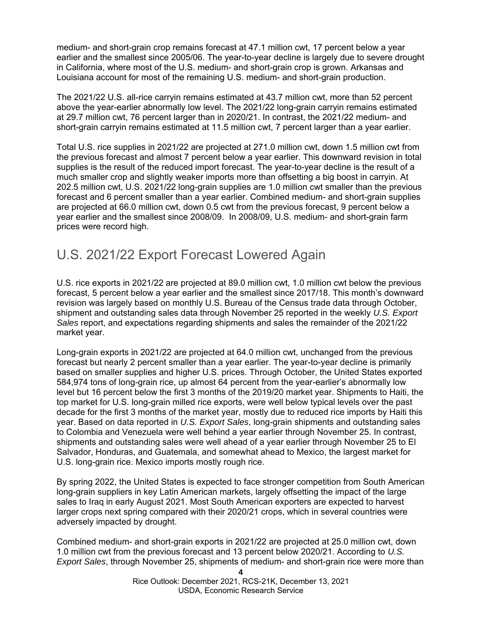medium- and short-grain crop remains forecast at 47.1 million cwt, 17 percent below a year earlier and the smallest since 2005/06. The year-to-year decline is largely due to severe drought in California, where most of the U.S. medium- and short-grain crop is grown. Arkansas and Louisiana account for most of the remaining U.S. medium- and short-grain production.

The 2021/22 U.S. all-rice carryin remains estimated at 43.7 million cwt, more than 52 percent above the year-earlier abnormally low level. The 2021/22 long-grain carryin remains estimated at 29.7 million cwt, 76 percent larger than in 2020/21. In contrast, the 2021/22 medium- and short-grain carryin remains estimated at 11.5 million cwt, 7 percent larger than a year earlier.

Total U.S. rice supplies in 2021/22 are projected at 271.0 million cwt, down 1.5 million cwt from the previous forecast and almost 7 percent below a year earlier. This downward revision in total supplies is the result of the reduced import forecast. The year-to-year decline is the result of a much smaller crop and slightly weaker imports more than offsetting a big boost in carryin. At 202.5 million cwt, U.S. 2021/22 long-grain supplies are 1.0 million cwt smaller than the previous forecast and 6 percent smaller than a year earlier. Combined medium- and short-grain supplies are projected at 66.0 million cwt, down 0.5 cwt from the previous forecast, 9 percent below a year earlier and the smallest since 2008/09. In 2008/09, U.S. medium- and short-grain farm prices were record high.

### U.S. 2021/22 Export Forecast Lowered Again

U.S. rice exports in 2021/22 are projected at 89.0 million cwt, 1.0 million cwt below the previous forecast, 5 percent below a year earlier and the smallest since 2017/18. This month's downward revision was largely based on monthly U.S. Bureau of the Census trade data through October, shipment and outstanding sales data through November 25 reported in the weekly *U.S. Export Sales* report, and expectations regarding shipments and sales the remainder of the 2021/22 market year.

Long-grain exports in 2021/22 are projected at 64.0 million cwt, unchanged from the previous forecast but nearly 2 percent smaller than a year earlier. The year-to-year decline is primarily based on smaller supplies and higher U.S. prices. Through October, the United States exported 584,974 tons of long-grain rice, up almost 64 percent from the year-earlier's abnormally low level but 16 percent below the first 3 months of the 2019/20 market year. Shipments to Haiti, the top market for U.S. long-grain milled rice exports, were well below typical levels over the past decade for the first 3 months of the market year, mostly due to reduced rice imports by Haiti this year. Based on data reported in *U.S. Export Sales*, long-grain shipments and outstanding sales to Colombia and Venezuela were well behind a year earlier through November 25. In contrast, shipments and outstanding sales were well ahead of a year earlier through November 25 to El Salvador, Honduras, and Guatemala, and somewhat ahead to Mexico, the largest market for U.S. long-grain rice. Mexico imports mostly rough rice.

By spring 2022, the United States is expected to face stronger competition from South American long-grain suppliers in key Latin American markets, largely offsetting the impact of the large sales to Iraq in early August 2021. Most South American exporters are expected to harvest larger crops next spring compared with their 2020/21 crops, which in several countries were adversely impacted by drought.

Combined medium- and short-grain exports in 2021/22 are projected at 25.0 million cwt, down 1.0 million cwt from the previous forecast and 13 percent below 2020/21. According to *U.S. Export Sales*, through November 25, shipments of medium- and short-grain rice were more than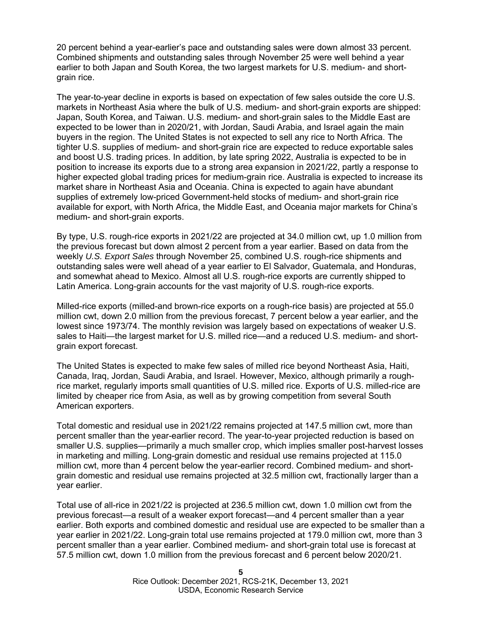20 percent behind a year-earlier's pace and outstanding sales were down almost 33 percent. Combined shipments and outstanding sales through November 25 were well behind a year earlier to both Japan and South Korea, the two largest markets for U.S. medium- and shortgrain rice.

The year-to-year decline in exports is based on expectation of few sales outside the core U.S. markets in Northeast Asia where the bulk of U.S. medium- and short-grain exports are shipped: Japan, South Korea, and Taiwan. U.S. medium- and short-grain sales to the Middle East are expected to be lower than in 2020/21, with Jordan, Saudi Arabia, and Israel again the main buyers in the region. The United States is not expected to sell any rice to North Africa. The tighter U.S. supplies of medium- and short-grain rice are expected to reduce exportable sales and boost U.S. trading prices. In addition, by late spring 2022, Australia is expected to be in position to increase its exports due to a strong area expansion in 2021/22, partly a response to higher expected global trading prices for medium-grain rice. Australia is expected to increase its market share in Northeast Asia and Oceania. China is expected to again have abundant supplies of extremely low-priced Government-held stocks of medium- and short-grain rice available for export, with North Africa, the Middle East, and Oceania major markets for China's medium- and short-grain exports.

By type, U.S. rough-rice exports in 2021/22 are projected at 34.0 million cwt, up 1.0 million from the previous forecast but down almost 2 percent from a year earlier. Based on data from the weekly *U.S. Export Sales* through November 25, combined U.S. rough-rice shipments and outstanding sales were well ahead of a year earlier to El Salvador, Guatemala, and Honduras, and somewhat ahead to Mexico. Almost all U.S. rough-rice exports are currently shipped to Latin America. Long-grain accounts for the vast majority of U.S. rough-rice exports.

Milled-rice exports (milled-and brown-rice exports on a rough-rice basis) are projected at 55.0 million cwt, down 2.0 million from the previous forecast, 7 percent below a year earlier, and the lowest since 1973/74. The monthly revision was largely based on expectations of weaker U.S. sales to Haiti—the largest market for U.S. milled rice—and a reduced U.S. medium- and shortgrain export forecast.

The United States is expected to make few sales of milled rice beyond Northeast Asia, Haiti, Canada, Iraq, Jordan, Saudi Arabia, and Israel. However, Mexico, although primarily a roughrice market, regularly imports small quantities of U.S. milled rice. Exports of U.S. milled-rice are limited by cheaper rice from Asia, as well as by growing competition from several South American exporters.

Total domestic and residual use in 2021/22 remains projected at 147.5 million cwt, more than percent smaller than the year-earlier record. The year-to-year projected reduction is based on smaller U.S. supplies—primarily a much smaller crop, which implies smaller post-harvest losses in marketing and milling. Long-grain domestic and residual use remains projected at 115.0 million cwt, more than 4 percent below the year-earlier record. Combined medium- and shortgrain domestic and residual use remains projected at 32.5 million cwt, fractionally larger than a year earlier.

Total use of all-rice in 2021/22 is projected at 236.5 million cwt, down 1.0 million cwt from the previous forecast—a result of a weaker export forecast—and 4 percent smaller than a year earlier. Both exports and combined domestic and residual use are expected to be smaller than a year earlier in 2021/22. Long-grain total use remains projected at 179.0 million cwt, more than 3 percent smaller than a year earlier. Combined medium- and short-grain total use is forecast at 57.5 million cwt, down 1.0 million from the previous forecast and 6 percent below 2020/21.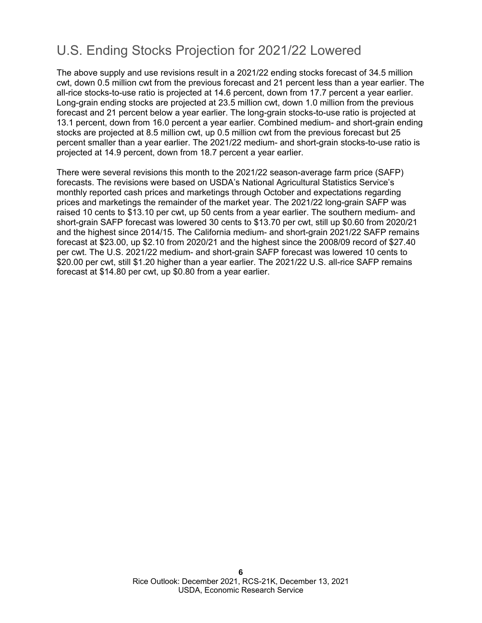# U.S. Ending Stocks Projection for 2021/22 Lowered

The above supply and use revisions result in a 2021/22 ending stocks forecast of 34.5 million cwt, down 0.5 million cwt from the previous forecast and 21 percent less than a year earlier. The all-rice stocks-to-use ratio is projected at 14.6 percent, down from 17.7 percent a year earlier. Long-grain ending stocks are projected at 23.5 million cwt, down 1.0 million from the previous forecast and 21 percent below a year earlier. The long-grain stocks-to-use ratio is projected at 13.1 percent, down from 16.0 percent a year earlier. Combined medium- and short-grain ending stocks are projected at 8.5 million cwt, up 0.5 million cwt from the previous forecast but 25 percent smaller than a year earlier. The 2021/22 medium- and short-grain stocks-to-use ratio is projected at 14.9 percent, down from 18.7 percent a year earlier.

There were several revisions this month to the 2021/22 season-average farm price (SAFP) forecasts. The revisions were based on USDA's National Agricultural Statistics Service's monthly reported cash prices and marketings through October and expectations regarding prices and marketings the remainder of the market year. The 2021/22 long-grain SAFP was raised 10 cents to \$13.10 per cwt, up 50 cents from a year earlier. The southern medium- and short-grain SAFP forecast was lowered 30 cents to \$13.70 per cwt, still up \$0.60 from 2020/21 and the highest since 2014/15. The California medium- and short-grain 2021/22 SAFP remains forecast at \$23.00, up \$2.10 from 2020/21 and the highest since the 2008/09 record of \$27.40 per cwt. The U.S. 2021/22 medium- and short-grain SAFP forecast was lowered 10 cents to \$20.00 per cwt, still \$1.20 higher than a year earlier. The 2021/22 U.S. all-rice SAFP remains forecast at \$14.80 per cwt, up \$0.80 from a year earlier.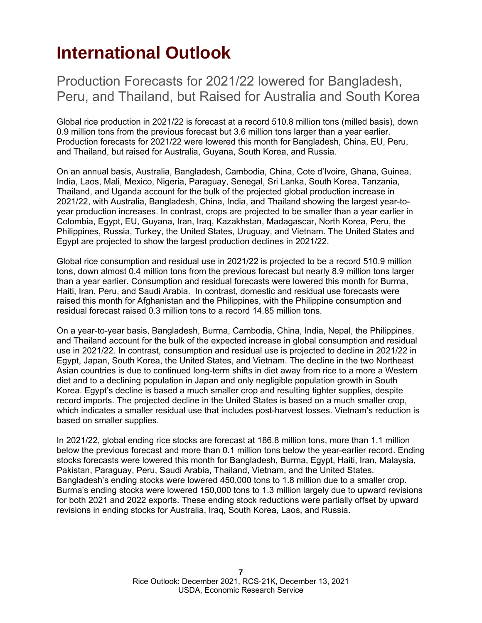# <span id="page-6-0"></span>**International Outlook**

Production Forecasts for 2021/22 lowered for Bangladesh, Peru, and Thailand, but Raised for Australia and South Korea

Global rice production in 2021/22 is forecast at a record 510.8 million tons (milled basis), down 0.9 million tons from the previous forecast but 3.6 million tons larger than a year earlier. Production forecasts for 2021/22 were lowered this month for Bangladesh, China, EU, Peru, and Thailand, but raised for Australia, Guyana, South Korea, and Russia.

On an annual basis, Australia, Bangladesh, Cambodia, China, Cote d'Ivoire, Ghana, Guinea, India, Laos, Mali, Mexico, Nigeria, Paraguay, Senegal, Sri Lanka, South Korea, Tanzania, Thailand, and Uganda account for the bulk of the projected global production increase in 2021/22, with Australia, Bangladesh, China, India, and Thailand showing the largest year-toyear production increases. In contrast, crops are projected to be smaller than a year earlier in Colombia, Egypt, EU, Guyana, Iran, Iraq, Kazakhstan, Madagascar, North Korea, Peru, the Philippines, Russia, Turkey, the United States, Uruguay, and Vietnam. The United States and Egypt are projected to show the largest production declines in 2021/22.

Global rice consumption and residual use in 2021/22 is projected to be a record 510.9 million tons, down almost 0.4 million tons from the previous forecast but nearly 8.9 million tons larger than a year earlier. Consumption and residual forecasts were lowered this month for Burma, Haiti, Iran, Peru, and Saudi Arabia. In contrast, domestic and residual use forecasts were raised this month for Afghanistan and the Philippines, with the Philippine consumption and residual forecast raised 0.3 million tons to a record 14.85 million tons.

On a year-to-year basis, Bangladesh, Burma, Cambodia, China, India, Nepal, the Philippines, and Thailand account for the bulk of the expected increase in global consumption and residual use in 2021/22. In contrast, consumption and residual use is projected to decline in 2021/22 in Egypt, Japan, South Korea, the United States, and Vietnam. The decline in the two Northeast Asian countries is due to continued long-term shifts in diet away from rice to a more a Western diet and to a declining population in Japan and only negligible population growth in South Korea. Egypt's decline is based a much smaller crop and resulting tighter supplies, despite record imports. The projected decline in the United States is based on a much smaller crop, which indicates a smaller residual use that includes post-harvest losses. Vietnam's reduction is based on smaller supplies.

In 2021/22, global ending rice stocks are forecast at 186.8 million tons, more than 1.1 million below the previous forecast and more than 0.1 million tons below the year-earlier record. Ending stocks forecasts were lowered this month for Bangladesh, Burma, Egypt, Haiti, Iran, Malaysia, Pakistan, Paraguay, Peru, Saudi Arabia, Thailand, Vietnam, and the United States. Bangladesh's ending stocks were lowered 450,000 tons to 1.8 million due to a smaller crop. Burma's ending stocks were lowered 150,000 tons to 1.3 million largely due to upward revisions for both 2021 and 2022 exports. These ending stock reductions were partially offset by upward revisions in ending stocks for Australia, Iraq, South Korea, Laos, and Russia.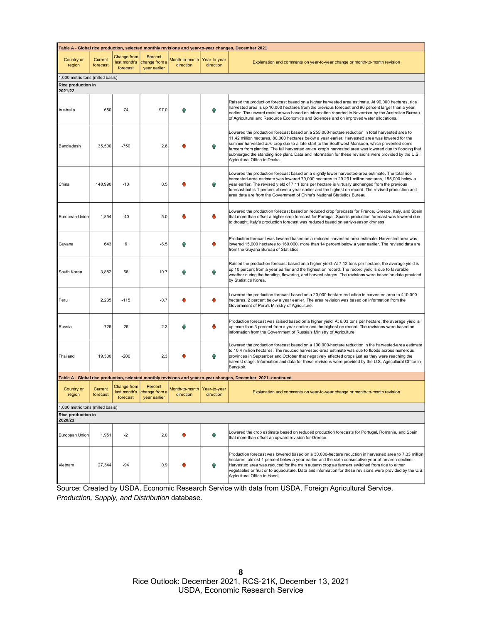| 1202 Table A - Global rice production, selected monthly revisions and year-to-year changes, December |                            |                                                |                                                       |                                          |                           |                                                                                                                                                                                                                                                                                                                                                                                                                                                                                                                                                        |  |  |
|------------------------------------------------------------------------------------------------------|----------------------------|------------------------------------------------|-------------------------------------------------------|------------------------------------------|---------------------------|--------------------------------------------------------------------------------------------------------------------------------------------------------------------------------------------------------------------------------------------------------------------------------------------------------------------------------------------------------------------------------------------------------------------------------------------------------------------------------------------------------------------------------------------------------|--|--|
| Country or<br>region                                                                                 | Current<br>forecast        | <b>Change from</b><br>last month's<br>forecast | Percent<br>change from a<br>year earlier              | Month-to-month<br>direction              | Year-to-year<br>direction | Explanation and comments on year-to-year change or month-to-month revision                                                                                                                                                                                                                                                                                                                                                                                                                                                                             |  |  |
| 1,000 metric tons (milled basis)                                                                     |                            |                                                |                                                       |                                          |                           |                                                                                                                                                                                                                                                                                                                                                                                                                                                                                                                                                        |  |  |
| <b>Rice production in</b><br>2021/22                                                                 |                            |                                                |                                                       |                                          |                           |                                                                                                                                                                                                                                                                                                                                                                                                                                                                                                                                                        |  |  |
| Australia                                                                                            | 650                        | 74                                             | 97.0                                                  |                                          | ĥР                        | Raised the production forecast based on a higher harvested area estimate. At 90,000 hectares, rice<br>harvested area is up 10,000 hectares from the previous forecast and 96 percent larger than a year<br>earlier. The upward revision was based on information reported in November by the Australian Bureau<br>of Agricultural and Resource Economics and Sciences and on improved water allocations.                                                                                                                                               |  |  |
| Bangladesh                                                                                           | 35,500                     | $-750$                                         | 2.6                                                   |                                          | ЙŘ                        | Lowered the production forecast based on a 255,000-hectare reduction in total harvested area to<br>11.42 million hectares, 80,000 hectares below a year earlier. Harvested area was lowered for the<br>summer harvested aus crop due to a late start to the Southwest Monsoon, which prevented some<br>farmers from planting. The fall harvested aman crop's harvested area was lowered due to flooding that<br>submerged the standing rice plant. Data and information for these revisions were provided by the U.S.<br>Agricultural Office in Dhaka. |  |  |
| China                                                                                                | 148,990                    | $-10$                                          | 0.5                                                   |                                          |                           | Lowered the production forecast based on a slightly lower harvested-area estimate. The total rice<br>harvested-area estimate was lowered 79,000 hectares to 29.291 million hectares, 155,000 below a<br>year earlier. The revised yield of 7.11 tons per hectare is virtually unchanged from the previous<br>forecast but is 1 percent above a year earlier and the highest on record. The revised production and<br>area data are from the Government of China's National Statistics Bureau.                                                          |  |  |
| European Union                                                                                       | 1,854                      | -40                                            | $-5.0$                                                |                                          |                           | Lowered the production forecast based on reduced crop forecasts for France, Greece, Italy, and Spain<br>that more than offset a higher crop forecast for Portugal. Spain's production forecast was lowered due<br>to drought. Italy's production forecast was reduced based on early-season dryness.                                                                                                                                                                                                                                                   |  |  |
| Guyana                                                                                               | 643                        | 6                                              | $-6.5$                                                |                                          |                           | Production forecast was lowered based on a reduced harvested-area estimate. Harvested area was<br>lowered 15,000 hectares to 160,000, more than 14 percent below a year earlier. The revised data are<br>from the Guyana Bureau of Statistics.                                                                                                                                                                                                                                                                                                         |  |  |
| South Korea                                                                                          | 3,882                      | 66                                             | 10.7                                                  |                                          |                           | Raised the production forecast based on a higher yield. At 7.12 tons per hectare, the average yield is<br>up 10 percent from a year earlier and the highest on record. The record yield is due to favorable<br>weather during the heading, flowering, and harvest stages. The revisions were based on data provided<br>by Statistics Korea.                                                                                                                                                                                                            |  |  |
| Peru                                                                                                 | 2,235                      | $-115$                                         | $-0.7$                                                |                                          | والح                      | Lowered the production forecast based on a 20,000-hectare reduction in harvested area to 410,000<br>hectares, 2 percent below a year earlier. The area revision was based on information from the<br>Government of Peru's Ministry of Agriculture.                                                                                                                                                                                                                                                                                                     |  |  |
| Russia                                                                                               | 725                        | 25                                             | $-2.3$                                                |                                          |                           | Production forecast was raised based on a higher yield. At 6.03 tons per hectare, the average yield is<br>up more than 3 percent from a year earlier and the highest on record. The revisions were based on<br>information from the Government of Russia's Ministry of Agriculture.                                                                                                                                                                                                                                                                    |  |  |
| Thailand                                                                                             | 19,300                     | $-200$                                         | 2.3                                                   |                                          | Йĥ                        | Lowered the production forecast based on a 100,000-hectare reduction in the harvested-area estimate<br>to 10.4 million hectares. The reduced harvested-area estimate was due to floods across numerous<br>provinces in September and October that negatively affected crops just as they were reaching the<br>harvest stage. Information and data for these revisions were provided by the U.S. Agricultural Office in<br>Bangkok.                                                                                                                     |  |  |
|                                                                                                      |                            |                                                |                                                       |                                          |                           | Table A - Global rice production, selected monthly revisions and year-to-year changes, December 2021--continued                                                                                                                                                                                                                                                                                                                                                                                                                                        |  |  |
| Country or<br>region                                                                                 | Current<br><u>rorecast</u> | Change from<br>forecast                        | Percent<br>last month's change from a<br>year earlier | Month-to-month Year-to-year<br>direction | direction                 | Explanation and comments on year-to-year change or month-to-month revision                                                                                                                                                                                                                                                                                                                                                                                                                                                                             |  |  |
| 1,000 metric tons (milled basis)                                                                     |                            |                                                |                                                       |                                          |                           |                                                                                                                                                                                                                                                                                                                                                                                                                                                                                                                                                        |  |  |
| Rice production in<br>2020/21                                                                        |                            |                                                |                                                       |                                          |                           |                                                                                                                                                                                                                                                                                                                                                                                                                                                                                                                                                        |  |  |
| European Union                                                                                       | 1,951                      | $-2$                                           | 2.0                                                   | Ψ                                        | Яñ                        | Lowered the crop estimate based on reduced production forecasts for Portugal, Romania, and Spain<br>that more than offset an upward revision for Greece.                                                                                                                                                                                                                                                                                                                                                                                               |  |  |
| Vietnam                                                                                              | 27,344                     | $-94$                                          | 0.9                                                   |                                          | hг                        | Production forecast was lowered based on a 30,000-hectare reduction in harvested area to 7.33 million<br>hectares, almost 1 percent below a year earlier and the sixth consecutive year of an area decline.<br>Harvested area was reduced for the main autumn crop as farmers switched from rice to either<br>vegetables or fruit or to aquaculture. Data and information for these revisions were provided by the U.S.<br>Agricultural Office in Hanoi.                                                                                               |  |  |

Source: Created by USDA, Economic Research Service with data from USDA, Foreign Agricultural Service, *Production, Supply, and Distribution* database*.*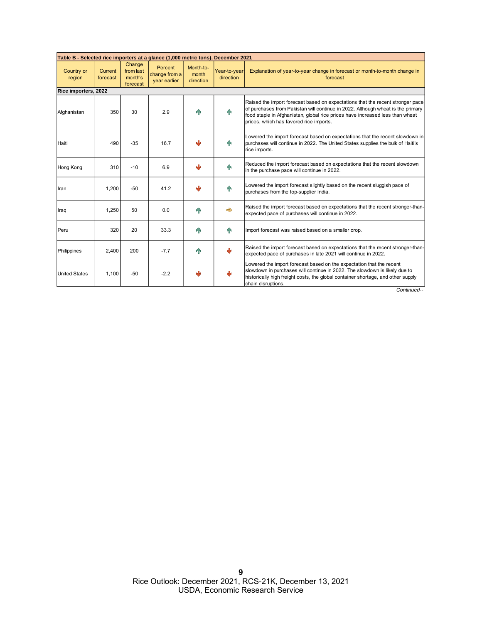| Table B - Selected rice importers at a glance (1,000 metric tons), December 2021 |                            |                                            |                                          |                                 |                           |                                                                                                                                                                                                                                                                                               |  |  |  |
|----------------------------------------------------------------------------------|----------------------------|--------------------------------------------|------------------------------------------|---------------------------------|---------------------------|-----------------------------------------------------------------------------------------------------------------------------------------------------------------------------------------------------------------------------------------------------------------------------------------------|--|--|--|
| Country or<br>region                                                             | <b>Current</b><br>forecast | Change<br>from last<br>month's<br>forecast | Percent<br>change from a<br>year earlier | Month-to-<br>month<br>direction | Year-to-year<br>direction | Explanation of year-to-year change in forecast or month-to-month change in<br>forecast                                                                                                                                                                                                        |  |  |  |
| Rice importers, 2022                                                             |                            |                                            |                                          |                                 |                           |                                                                                                                                                                                                                                                                                               |  |  |  |
| Afghanistan                                                                      | 350                        | 30                                         | 2.9                                      |                                 |                           | Raised the import forecast based on expectations that the recent stronger pace<br>of purchases from Pakistan will continue in 2022. Although wheat is the primary<br>food staple in Afghanistan, global rice prices have increased less than wheat<br>prices, which has favored rice imports. |  |  |  |
| Haiti                                                                            | 490                        | $-35$                                      | 16.7                                     |                                 | 4 <sub>R</sub>            | Lowered the import forecast based on expectations that the recent slowdown in<br>purchases will continue in 2022. The United States supplies the bulk of Haiti's<br>rice imports.                                                                                                             |  |  |  |
| Hong Kong                                                                        | 310                        | $-10$                                      | 6.9                                      |                                 |                           | Reduced the import forecast based on expectations that the recent slowdown<br>in the purchase pace will continue in 2022.                                                                                                                                                                     |  |  |  |
| Iran                                                                             | 1,200                      | $-50$                                      | 41.2                                     |                                 | q <sub>P</sub>            | Lowered the import forecast slightly based on the recent sluggish pace of<br>purchases from the top-supplier India.                                                                                                                                                                           |  |  |  |
| Iraq                                                                             | 1,250                      | 50                                         | 0.0                                      |                                 | $\Rightarrow$             | Raised the import forecast based on expectations that the recent stronger-than-<br>expected pace of purchases will continue in 2022.                                                                                                                                                          |  |  |  |
| Peru                                                                             | 320                        | 20                                         | 33.3                                     |                                 | 4 <sub>R</sub>            | Import forecast was raised based on a smaller crop.                                                                                                                                                                                                                                           |  |  |  |
| Philippines                                                                      | 2,400                      | 200                                        | $-7.7$                                   |                                 | л                         | Raised the import forecast based on expectations that the recent stronger-than-<br>expected pace of purchases in late 2021 will continue in 2022.                                                                                                                                             |  |  |  |
| <b>United States</b>                                                             | 1.100                      | $-50$                                      | $-2.2$                                   |                                 |                           | Lowered the import forecast based on the expectation that the recent<br>slowdown in purchases will continue in 2022. The slowdown is likely due to<br>historically high freight costs, the global container shortage, and other supply<br>chain disruptions.                                  |  |  |  |

*Continued--*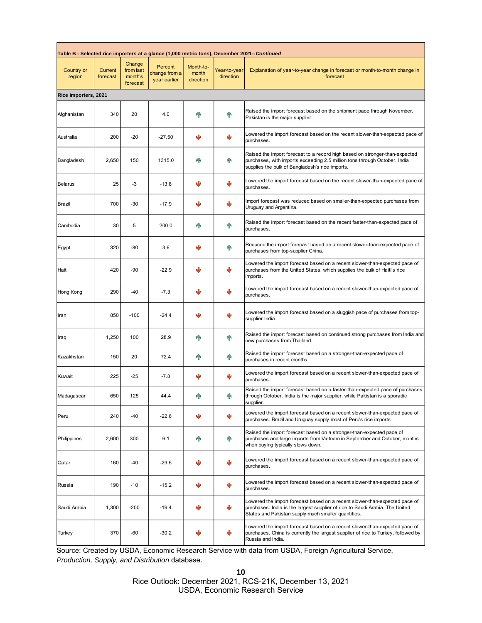| Table B - Selected rice importers at a glance (1,000 metric tons), December 2021-- <i>Continued</i> |                            |                                            |                                          |                                 |                           |                                                                                                                                                                                                                   |  |  |  |  |
|-----------------------------------------------------------------------------------------------------|----------------------------|--------------------------------------------|------------------------------------------|---------------------------------|---------------------------|-------------------------------------------------------------------------------------------------------------------------------------------------------------------------------------------------------------------|--|--|--|--|
| <b>Country or</b><br>region                                                                         | <b>Current</b><br>forecast | Change<br>from last<br>month's<br>forecast | Percent<br>change from a<br>year earlier | Month-to-<br>month<br>direction | Year-to-year<br>direction | Explanation of year-to-year change in forecast or month-to-month change in<br>forecast                                                                                                                            |  |  |  |  |
|                                                                                                     | Rice importers, 2021       |                                            |                                          |                                 |                           |                                                                                                                                                                                                                   |  |  |  |  |
| Afghanistan                                                                                         | 340                        | 20                                         | 4.0                                      |                                 | q <sub>P</sub>            | Raised the import forecast based on the shipment pace through November.<br>Pakistan is the major supplier.                                                                                                        |  |  |  |  |
| Australia                                                                                           | 200                        | $-20$                                      | -27.50                                   | J                               |                           | Lowered the import forecast based on the recent slower-than-expected pace of<br>purchases.                                                                                                                        |  |  |  |  |
| Bangladesh                                                                                          | 2,650                      | 150                                        | 1315.0                                   |                                 | 个                         | Raised the import forecast to a record high based on stronger-than-expected<br>purchases, with imports exceeding 2.5 million tons through October. India<br>supplies the bulk of Bangladesh's rice imports.       |  |  |  |  |
| <b>Belarus</b>                                                                                      | 25                         | -3                                         | $-13.8$                                  |                                 | رال                       | Lowered the import forecast based on the recent slower-than-expected pace of<br>purchases.                                                                                                                        |  |  |  |  |
| Brazil                                                                                              | 700                        | $-30$                                      | $-17.9$                                  |                                 |                           | Import forecast was reduced based on smaller-than-expected purchases from<br>Uruguay and Argentina.                                                                                                               |  |  |  |  |
| Cambodia                                                                                            | 30                         | 5                                          | 200.0                                    |                                 | 48                        | Raised the import forecast based on the recent faster-than-expected pace of<br>purchases.                                                                                                                         |  |  |  |  |
| Egypt                                                                                               | 320                        | -80                                        | 3.6                                      |                                 | 48                        | Reduced the import forecast based on a recent slower-than-expected pace of<br>purchases from top-supplier China.                                                                                                  |  |  |  |  |
| Haiti                                                                                               | 420                        | $-90$                                      | $-22.9$                                  |                                 |                           | Lowered the import forecast based on a recent slower-than-expected pace of<br>purchases from the United States, which supplies the bulk of Haiti's rice<br>imports.                                               |  |  |  |  |
| Hong Kong                                                                                           | 290                        | -40                                        | $-7.3$                                   |                                 |                           | Lowered the import forecast based on a recent slower-than-expected pace of<br>purchases.                                                                                                                          |  |  |  |  |
| Iran                                                                                                | 850                        | $-100$                                     | $-24.4$                                  |                                 | رال                       | Lowered the import forecast based on a sluggish pace of purchases from top-<br>supplier India.                                                                                                                    |  |  |  |  |
| Iraq                                                                                                | 1,250                      | 100                                        | 28.9                                     |                                 | 48                        | Raised the import forecast based on continued strong purchases from India and<br>new purchases from Thailand.                                                                                                     |  |  |  |  |
| Kazakhstan                                                                                          | 150                        | 20                                         | 72.4                                     |                                 | $\mathbf{r}$              | Raised the import forecast based on a stronger-than-expected pace of<br>purchases in recent months.                                                                                                               |  |  |  |  |
| Kuwait                                                                                              | 225                        | $-25$                                      | $-7.8$                                   |                                 | رال                       | Lowered the import forecast based on a recent slower-than-expected pace of<br>purchases.                                                                                                                          |  |  |  |  |
| Madagascar                                                                                          | 650                        | 125                                        | 44.4                                     |                                 |                           | Raised the import forecast based on a faster-than-expected pace of purchases<br>through October. India is the major supplier, while Pakistan is a sporadic<br>supplier.                                           |  |  |  |  |
| Peru                                                                                                | 240                        | $-40$                                      | $-22.6$                                  |                                 |                           | Lowered the import forecast based on a recent slower-than-expected pace of<br>purchases. Brazil and Uruguay supply most of Peru's rice imports.                                                                   |  |  |  |  |
| Philippines                                                                                         | 2,600                      | 300                                        | 6.1                                      |                                 | 48                        | Raised the import forecast based on a stronger-than-expected pace of<br>purchases and large imports from Vietnam in September and October, months<br>when buying typically slows down.                            |  |  |  |  |
| Qatar                                                                                               | 160                        | $-40$                                      | $-29.5$                                  |                                 |                           | Lowered the import forecast based on a recent slower-than-expected pace of<br>purchases.                                                                                                                          |  |  |  |  |
| Russia                                                                                              | 190                        | $-10$                                      | $-15.2$                                  |                                 | رال                       | Lowered the import forecast based on a recent slower-than-expected pace of<br>purchases.                                                                                                                          |  |  |  |  |
| Saudi Arabia                                                                                        | 1,300                      | $-200$                                     | $-19.4$                                  |                                 |                           | Lowered the import forecast based on a recent slower-than-expected pace of<br>purchases. India is the largest supplier of rice to Saudi Arabia. The United<br>States and Pakistan supply much smaller quantities. |  |  |  |  |
| Turkey                                                                                              | 370                        | $-60$                                      | $-30.2$                                  |                                 |                           | Lowered the import forecast based on a recent slower-than-expected pace of<br>purchases. China is currently the largest supplier of rice to Turkey, followed by<br>Russia and India.                              |  |  |  |  |

Source: Created by USDA, Economic Research Service with data from USDA, Foreign Agricultural Service, *Production, Supply, and Distribution* database*.*

Rice Outlook: December 2021, RCS-21K, December 13, 2021 USDA, Economic Research Service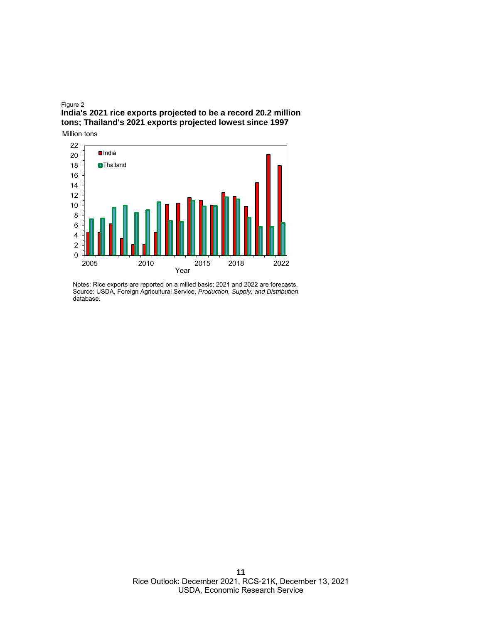#### Figure 2 **India's 2021 rice exports projected to be a record 20.2 million tons; Thailand's 2021 exports projected lowest since 1997**



Notes: Rice exports are reported on a milled basis; 2021 and 2022 are forecasts. Source: USDA, Foreign Agricultural Service, *Production, Supply, and Distribution*  database.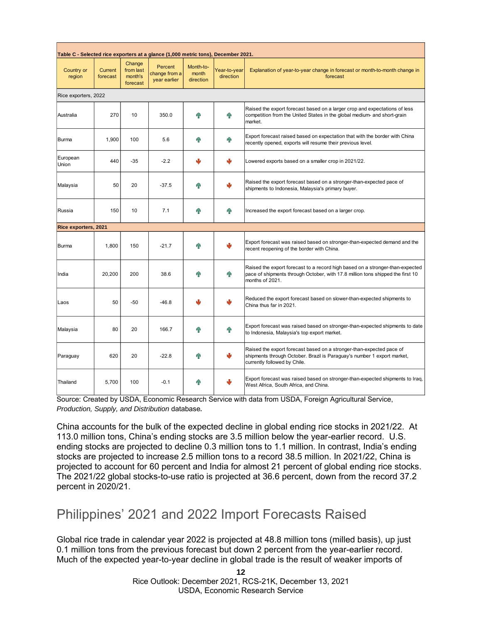| Table C - Selected rice exporters at a glance (1,000 metric tons), December 2021. |                            |                                            |                                          |                                 |                           |                                                                                                                                                                                    |  |  |  |
|-----------------------------------------------------------------------------------|----------------------------|--------------------------------------------|------------------------------------------|---------------------------------|---------------------------|------------------------------------------------------------------------------------------------------------------------------------------------------------------------------------|--|--|--|
| Country or<br>region                                                              | <b>Current</b><br>forecast | Change<br>from last<br>month's<br>forecast | Percent<br>change from a<br>year earlier | Month-to-<br>month<br>direction | Year-to-year<br>direction | Explanation of year-to-year change in forecast or month-to-month change in<br>forecast                                                                                             |  |  |  |
| Rice exporters, 2022                                                              |                            |                                            |                                          |                                 |                           |                                                                                                                                                                                    |  |  |  |
| Australia                                                                         | 270                        | 10                                         | 350.0                                    |                                 | 4 <sub>P</sub>            | Raised the export forecast based on a larger crop and expectations of less<br>competition from the United States in the global medium- and short-grain<br>market.                  |  |  |  |
| Burma                                                                             | 1,900                      | 100                                        | 5.6                                      |                                 |                           | Export forecast raised based on expectation that with the border with China<br>recently opened, exports will resume their previous level.                                          |  |  |  |
| European<br>Union                                                                 | 440                        | $-35$                                      | $-2.2$                                   |                                 | J                         | Lowered exports based on a smaller crop in 2021/22.                                                                                                                                |  |  |  |
| Malaysia                                                                          | 50                         | 20                                         | $-37.5$                                  |                                 |                           | Raised the export forecast based on a stronger-than-expected pace of<br>shipments to Indonesia, Malaysia's primary buyer.                                                          |  |  |  |
| Russia                                                                            | 150                        | 10                                         | 7.1                                      |                                 | 4 <sub>h</sub>            | Increased the export forecast based on a larger crop.                                                                                                                              |  |  |  |
| Rice exporters, 2021                                                              |                            |                                            |                                          |                                 |                           |                                                                                                                                                                                    |  |  |  |
| <b>Burma</b>                                                                      | 1.800                      | 150                                        | $-21.7$                                  |                                 |                           | Export forecast was raised based on stronger-than-expected demand and the<br>recent reopening of the border with China.                                                            |  |  |  |
| India                                                                             | 20,200                     | 200                                        | 38.6                                     |                                 | 4 <sub>R</sub>            | Raised the export forecast to a record high based on a stronger-than-expected<br>pace of shipments through October, with 17.8 million tons shipped the first 10<br>months of 2021. |  |  |  |
| Laos                                                                              | 50                         | $-50$                                      | $-46.8$                                  |                                 |                           | Reduced the export forecast based on slower-than-expected shipments to<br>China thus far in 2021.                                                                                  |  |  |  |
| Malaysia                                                                          | 80                         | 20                                         | 166.7                                    |                                 | 4 <sub>R</sub>            | Export forecast was raised based on stronger-than-expected shipments to date<br>to Indonesia, Malaysia's top export market.                                                        |  |  |  |
| Paraguay                                                                          | 620                        | 20                                         | $-22.8$                                  |                                 | ر آل                      | Raised the export forecast based on a stronger-than-expected pace of<br>shipments through October. Brazil is Paraguay's number 1 export market,<br>currently followed by Chile.    |  |  |  |
| Thailand                                                                          | 5.700                      | 100                                        | $-0.1$                                   |                                 |                           | Export forecast was raised based on stronger-than-expected shipments to Iraq,<br>West Africa, South Africa, and China.                                                             |  |  |  |

Source: Created by USDA, Economic Research Service with data from USDA, Foreign Agricultural Service, *Production, Supply, and Distribution* database*.*

China accounts for the bulk of the expected decline in global ending rice stocks in 2021/22. At 113.0 million tons, China's ending stocks are 3.5 million below the year-earlier record. U.S. ending stocks are projected to decline 0.3 million tons to 1.1 million. In contrast, India's ending stocks are projected to increase 2.5 million tons to a record 38.5 million. In 2021/22, China is projected to account for 60 percent and India for almost 21 percent of global ending rice stocks. The 2021/22 global stocks-to-use ratio is projected at 36.6 percent, down from the record 37.2 percent in 2020/21.

## Philippines' 2021 and 2022 Import Forecasts Raised

Global rice trade in calendar year 2022 is projected at 48.8 million tons (milled basis), up just 0.1 million tons from the previous forecast but down 2 percent from the year-earlier record. Much of the expected year-to-year decline in global trade is the result of weaker imports of

> Rice Outlook: December 2021, RCS-21K, December 13, 2021 USDA, Economic Research Service

**12**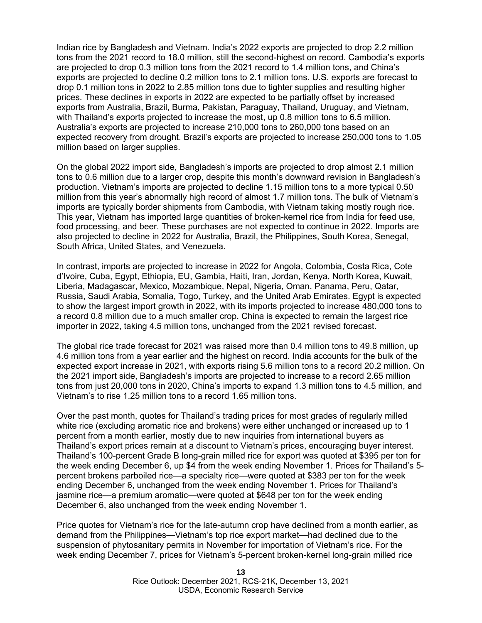Indian rice by Bangladesh and Vietnam. India's 2022 exports are projected to drop 2.2 million tons from the 2021 record to 18.0 million, still the second-highest on record. Cambodia's exports are projected to drop 0.3 million tons from the 2021 record to 1.4 million tons, and China's exports are projected to decline 0.2 million tons to 2.1 million tons. U.S. exports are forecast to drop 0.1 million tons in 2022 to 2.85 million tons due to tighter supplies and resulting higher prices. These declines in exports in 2022 are expected to be partially offset by increased exports from Australia, Brazil, Burma, Pakistan, Paraguay, Thailand, Uruguay, and Vietnam, with Thailand's exports projected to increase the most, up 0.8 million tons to 6.5 million. Australia's exports are projected to increase 210,000 tons to 260,000 tons based on an expected recovery from drought. Brazil's exports are projected to increase 250,000 tons to 1.05 million based on larger supplies.

On the global 2022 import side, Bangladesh's imports are projected to drop almost 2.1 million tons to 0.6 million due to a larger crop, despite this month's downward revision in Bangladesh's production. Vietnam's imports are projected to decline 1.15 million tons to a more typical 0.50 million from this year's abnormally high record of almost 1.7 million tons. The bulk of Vietnam's imports are typically border shipments from Cambodia, with Vietnam taking mostly rough rice. This year, Vietnam has imported large quantities of broken-kernel rice from India for feed use, food processing, and beer. These purchases are not expected to continue in 2022. Imports are also projected to decline in 2022 for Australia, Brazil, the Philippines, South Korea, Senegal, South Africa, United States, and Venezuela.

In contrast, imports are projected to increase in 2022 for Angola, Colombia, Costa Rica, Cote d'Ivoire, Cuba, Egypt, Ethiopia, EU, Gambia, Haiti, Iran, Jordan, Kenya, North Korea, Kuwait, Liberia, Madagascar, Mexico, Mozambique, Nepal, Nigeria, Oman, Panama, Peru, Qatar, Russia, Saudi Arabia, Somalia, Togo, Turkey, and the United Arab Emirates. Egypt is expected to show the largest import growth in 2022, with its imports projected to increase 480,000 tons to a record 0.8 million due to a much smaller crop. China is expected to remain the largest rice importer in 2022, taking 4.5 million tons, unchanged from the 2021 revised forecast.

The global rice trade forecast for 2021 was raised more than 0.4 million tons to 49.8 million, up 4.6 million tons from a year earlier and the highest on record. India accounts for the bulk of the expected export increase in 2021, with exports rising 5.6 million tons to a record 20.2 million. On the 2021 import side, Bangladesh's imports are projected to increase to a record 2.65 million tons from just 20,000 tons in 2020, China's imports to expand 1.3 million tons to 4.5 million, and Vietnam's to rise 1.25 million tons to a record 1.65 million tons.

Over the past month, quotes for Thailand's trading prices for most grades of regularly milled white rice (excluding aromatic rice and brokens) were either unchanged or increased up to 1 percent from a month earlier, mostly due to new inquiries from international buyers as Thailand's export prices remain at a discount to Vietnam's prices, encouraging buyer interest. Thailand's 100-percent Grade B long-grain milled rice for export was quoted at \$395 per ton for the week ending December 6, up \$4 from the week ending November 1. Prices for Thailand's 5 percent brokens parboiled rice—a specialty rice—were quoted at \$383 per ton for the week ending December 6, unchanged from the week ending November 1. Prices for Thailand's jasmine rice—a premium aromatic—were quoted at \$648 per ton for the week ending December 6, also unchanged from the week ending November 1.

Price quotes for Vietnam's rice for the late-autumn crop have declined from a month earlier, as demand from the Philippines—Vietnam's top rice export market—had declined due to the suspension of phytosanitary permits in November for importation of Vietnam's rice. For the week ending December 7, prices for Vietnam's 5-percent broken-kernel long-grain milled rice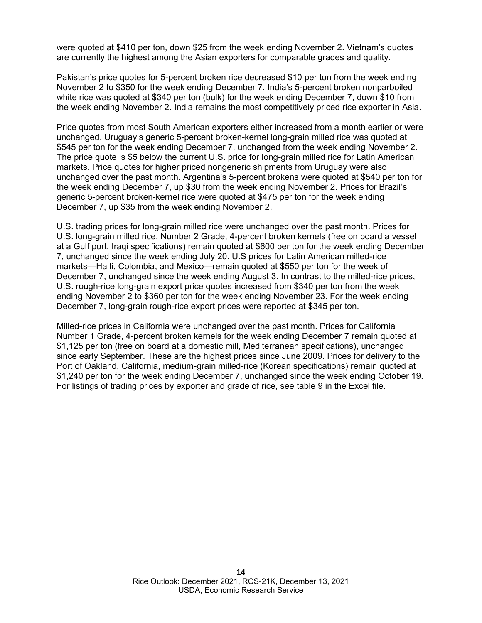were quoted at \$410 per ton, down \$25 from the week ending November 2. Vietnam's quotes are currently the highest among the Asian exporters for comparable grades and quality.

Pakistan's price quotes for 5-percent broken rice decreased \$10 per ton from the week ending November 2 to \$350 for the week ending December 7. India's 5-percent broken nonparboiled white rice was quoted at \$340 per ton (bulk) for the week ending December 7, down \$10 from the week ending November 2. India remains the most competitively priced rice exporter in Asia.

Price quotes from most South American exporters either increased from a month earlier or were unchanged. Uruguay's generic 5-percent broken-kernel long-grain milled rice was quoted at \$545 per ton for the week ending December 7, unchanged from the week ending November 2. The price quote is \$5 below the current U.S. price for long-grain milled rice for Latin American markets. Price quotes for higher priced nongeneric shipments from Uruguay were also unchanged over the past month. Argentina's 5-percent brokens were quoted at \$540 per ton for the week ending December 7, up \$30 from the week ending November 2. Prices for Brazil's generic 5-percent broken-kernel rice were quoted at \$475 per ton for the week ending December 7, up \$35 from the week ending November 2.

U.S. trading prices for long-grain milled rice were unchanged over the past month. Prices for U.S. long-grain milled rice, Number 2 Grade, 4-percent broken kernels (free on board a vessel at a Gulf port, Iraqi specifications) remain quoted at \$600 per ton for the week ending December 7, unchanged since the week ending July 20. U.S prices for Latin American milled-rice markets—Haiti, Colombia, and Mexico—remain quoted at \$550 per ton for the week of December 7, unchanged since the week ending August 3. In contrast to the milled-rice prices, U.S. rough-rice long-grain export price quotes increased from \$340 per ton from the week ending November 2 to \$360 per ton for the week ending November 23. For the week ending December 7, long-grain rough-rice export prices were reported at \$345 per ton.

Milled-rice prices in California were unchanged over the past month. Prices for California Number 1 Grade, 4-percent broken kernels for the week ending December 7 remain quoted at \$1,125 per ton (free on board at a domestic mill, Mediterranean specifications), unchanged since early September. These are the highest prices since June 2009. Prices for delivery to the Port of Oakland, California, medium-grain milled-rice (Korean specifications) remain quoted at \$1,240 per ton for the week ending December 7, unchanged since the week ending October 19. For listings of trading prices by exporter and grade of rice, see table 9 in the Excel file.